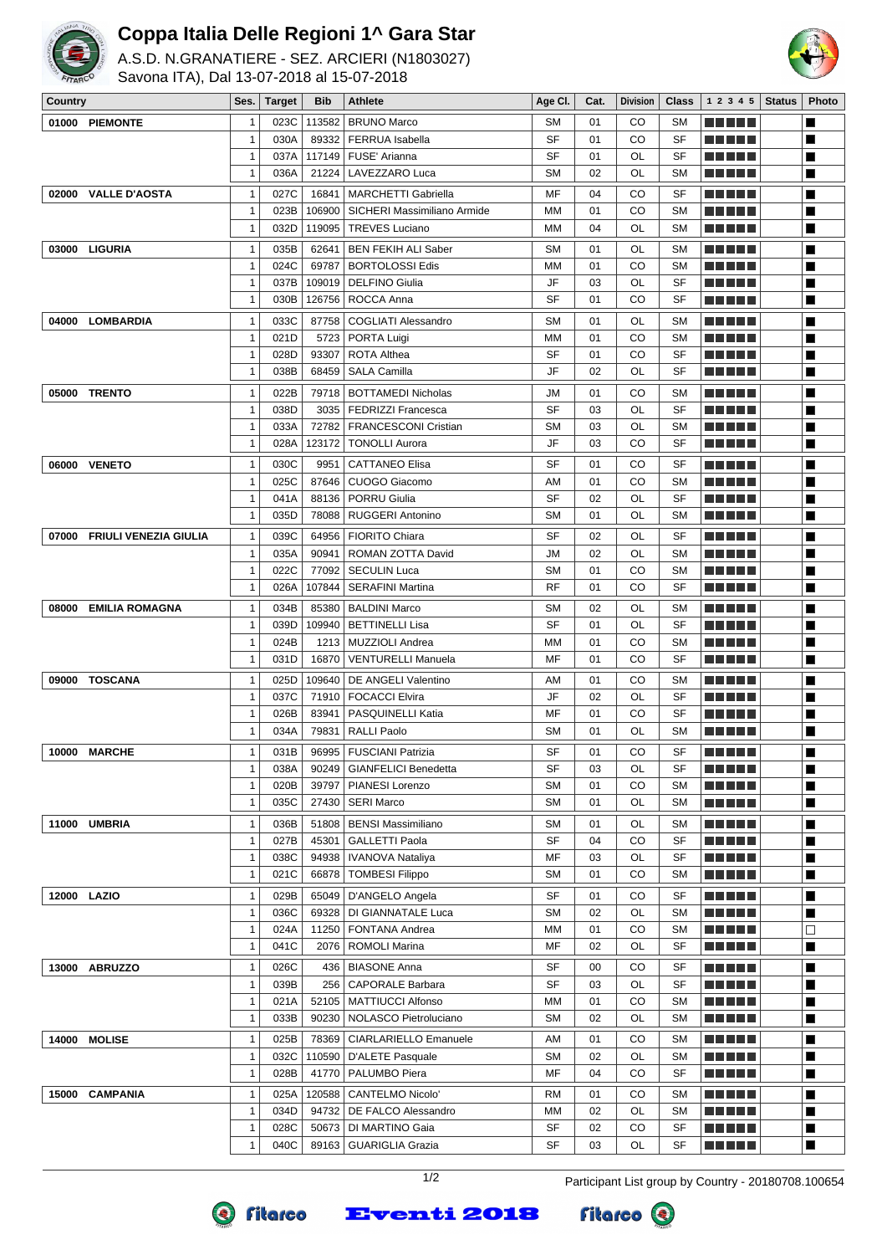

## **Coppa Italia Delle Regioni 1^ Gara Star**

A.S.D. N.GRANATIERE - SEZ. ARCIERI (N1803027) Savona ITA), Dal 13-07-2018 al 15-07-2018



| Country                        | Ses.         | Target | Bib    | <b>Athlete</b>              | Age Cl.   | Cat. | Division | Class     | $1\ 2\ 3\ 4\ 5$ Status | <b>Photo</b>   |
|--------------------------------|--------------|--------|--------|-----------------------------|-----------|------|----------|-----------|------------------------|----------------|
| 01000<br><b>PIEMONTE</b>       | 1            | 023C   | 113582 | <b>BRUNO Marco</b>          | <b>SM</b> | 01   | CO       | <b>SM</b> | <u> Literatur in s</u> | ■              |
|                                | $\mathbf{1}$ | 030A   | 89332  | <b>FERRUA</b> Isabella      | SF        | 01   | CO       | SF        | ma matsa               | $\blacksquare$ |
|                                | $\mathbf 1$  | 037A   | 117149 | FUSE' Arianna               | SF        | 01   | OL       | SF        |                        | ■              |
|                                | $\mathbf{1}$ | 036A   | 21224  | LAVEZZARO Luca              | <b>SM</b> | 02   | OL       | <b>SM</b> | <u> El El El E</u>     | ■              |
| <b>VALLE D'AOSTA</b><br>02000  | $\mathbf{1}$ | 027C   | 16841  | <b>MARCHETTI Gabriella</b>  | MF        | 04   | CO       | SF        | n di Tinggi            | $\blacksquare$ |
|                                | $\mathbf{1}$ | 023B   | 106900 | SICHERI Massimiliano Armide | MM        | 01   | CO       | <b>SM</b> | n di Titolo            | $\blacksquare$ |
|                                | $\mathbf 1$  | 032D   | 119095 | <b>TREVES Luciano</b>       | МM        | 04   | OL       | <b>SM</b> | <u> Literatur</u>      | ■              |
|                                |              |        |        |                             |           |      |          |           |                        |                |
| 03000 LIGURIA                  | $\mathbf{1}$ | 035B   | 62641  | <b>BEN FEKIH ALI Saber</b>  | <b>SM</b> | 01   | OL       | <b>SM</b> | M M M M M              | $\blacksquare$ |
|                                | $\mathbf{1}$ | 024C   | 69787  | <b>BORTOLOSSI Edis</b>      | MM        | 01   | CO       | <b>SM</b> |                        | ■              |
|                                | $\mathbf{1}$ | 037B   | 109019 | <b>DELFINO Giulia</b>       | JF        | 03   | OL       | SF        |                        | $\blacksquare$ |
|                                | $\mathbf{1}$ | 030B   | 126756 | ROCCA Anna                  | SF        | 01   | CO       | SF        | <u> Literatur</u>      | ■              |
| 04000 LOMBARDIA                | $\mathbf{1}$ | 033C   | 87758  | <b>COGLIATI Alessandro</b>  | <b>SM</b> | 01   | OL       | <b>SM</b> | <u> El Bertin</u>      | $\blacksquare$ |
|                                | $\mathbf{1}$ | 021D   | 5723   | PORTA Luigi                 | MM        | 01   | CO       | <b>SM</b> |                        | ■              |
|                                | 1            | 028D   | 93307  | <b>ROTA Althea</b>          | SF        | 01   | CO       | SF        |                        | ■              |
|                                | $\mathbf{1}$ | 038B   | 68459  | <b>SALA Camilla</b>         | JF        | 02   | OL       | SF        | <u> Literatur</u>      | ■              |
| <b>TRENTO</b><br>05000         | $\mathbf{1}$ | 022B   | 79718  | <b>BOTTAMEDI Nicholas</b>   | JM        | 01   | CO       | <b>SM</b> | e de ele               | ■              |
|                                | $\mathbf{1}$ | 038D   | 3035   | <b>FEDRIZZI Francesca</b>   | SF        | 03   | OL       | SF        |                        | ■              |
|                                | $\mathbf{1}$ | 033A   | 72782  | <b>FRANCESCONI Cristian</b> | <b>SM</b> | 03   | OL       | <b>SM</b> |                        | ■              |
|                                | $\mathbf{1}$ | 028A   | 123172 | <b>TONOLLI Aurora</b>       | JF        | 03   | CO       | SF        | <u> La Barta</u>       | $\blacksquare$ |
| 06000 VENETO                   | $\mathbf{1}$ | 030C   | 9951   | <b>CATTANEO Elisa</b>       | SF        | 01   | CO       | SF        | ma matsa               | $\blacksquare$ |
|                                | $\mathbf{1}$ | 025C   | 87646  | CUOGO Giacomo               | AM        | 01   | CO       | <b>SM</b> | .                      | ■              |
|                                | $\mathbf{1}$ | 041A   | 88136  | <b>PORRU Giulia</b>         | <b>SF</b> | 02   | OL       | SF        |                        | ■              |
|                                | $\mathbf{1}$ | 035D   | 78088  | <b>RUGGERI Antonino</b>     | <b>SM</b> | 01   | OL       | <b>SM</b> | <u> Literatur</u>      | $\blacksquare$ |
|                                |              |        |        |                             |           |      |          |           |                        |                |
| 07000<br>FRIULI VENEZIA GIULIA | $\mathbf{1}$ | 039C   | 64956  | <b>FIORITO Chiara</b>       | <b>SF</b> | 02   | OL       | <b>SF</b> | <u> El Bertin</u>      | ■              |
|                                | $\mathbf{1}$ | 035A   | 90941  | ROMAN ZOTTA David           | JM        | 02   | OL       | <b>SM</b> |                        | ■              |
|                                | 1            | 022C   | 77092  | <b>SECULIN Luca</b>         | <b>SM</b> | 01   | CO       | <b>SM</b> |                        | ■              |
|                                | $\mathbf 1$  | 026A   | 107844 | <b>SERAFINI Martina</b>     | RF        | 01   | CO       | SF        | Martin Ball            | ■              |
| 08000<br><b>EMILIA ROMAGNA</b> | $\mathbf{1}$ | 034B   | 85380  | <b>BALDINI Marco</b>        | <b>SM</b> | 02   | OL       | <b>SM</b> | <u> El Bertin</u>      | ■              |
|                                | $\mathbf 1$  | 039D   | 109940 | <b>BETTINELLI Lisa</b>      | SF        | 01   | OL       | SF        |                        | ■              |
|                                | $\mathbf{1}$ | 024B   | 1213   | MUZZIOLI Andrea             | MM        | 01   | CO       | <b>SM</b> | an bin birni           | ■              |
|                                | $\mathbf{1}$ | 031D   | 16870  | <b>VENTURELLI Manuela</b>   | MF        | 01   | CO       | SF        | <u> Literatur</u>      | ■              |
| 09000 TOSCANA                  | $\mathbf{1}$ | 025D   | 109640 | DE ANGELI Valentino         | AM        | 01   | CO       | <b>SM</b> | n di Biblio            | $\blacksquare$ |
|                                | $\mathbf 1$  | 037C   | 71910  | <b>FOCACCI Elvira</b>       | JF        | 02   | OL       | SF        | ma mata                | ■              |
|                                | $\mathbf{1}$ | 026B   | 83941  | PASQUINELLI Katia           | MF        | 01   | CO       | SF        | <u> Literatur in s</u> | ■              |
|                                | $\mathbf 1$  | 034A   | 79831  | <b>RALLI Paolo</b>          | <b>SM</b> | 01   | OL       | <b>SM</b> | <u> Literatur</u>      | ■              |
| 10000 MARCHE                   | $\mathbf{1}$ | 031B   | 96995  | <b>FUSCIANI Patrizia</b>    | SF        | 01   | CO       | SF        |                        | ■              |
|                                | 1            | 038A   | 90249  | <b>GIANFELICI Benedetta</b> | SF        | 03   | OL       | SF        | M M M M M              | ■              |
|                                | $\mathbf{1}$ | 020B   | 39797  | PIANESI Lorenzo             | SΜ        | 01   | CO       | SΜ        | <b>REBEL</b>           | п              |
|                                | $\mathbf{1}$ | 035C   | 27430  | <b>SERI Marco</b>           | SM        | 01   | OL       | SΜ        |                        | ■              |
| 11000 UMBRIA                   | $\mathbf{1}$ | 036B   | 51808  | <b>BENSI Massimiliano</b>   | SΜ        | 01   | OL       | SΜ        | <u> Literatur</u>      | $\blacksquare$ |
|                                | $\mathbf{1}$ | 027B   | 45301  | <b>GALLETTI Paola</b>       | SF        | 04   | CO       | SF        | <u> El Bell</u>        | ■              |
|                                | 1            | 038C   | 94938  | IVANOVA Nataliya            | MF        | 03   | OL       | SF        | <u> Helet</u>          | ■              |
|                                | 1            | 021C   | 66878  | <b>TOMBESI Filippo</b>      | SM        | 01   | CO       | <b>SM</b> |                        | ■              |
|                                |              |        |        |                             |           |      |          |           |                        |                |
| 12000 LAZIO                    | 1            | 029B   | 65049  | D'ANGELO Angela             | SF        | 01   | CO       | SF        | <u> Literatur</u>      | ■              |
|                                | $\mathbf{1}$ | 036C   | 69328  | DI GIANNATALE Luca          | <b>SM</b> | 02   | OL       | <b>SM</b> | <u> Literatur</u>      | $\blacksquare$ |
|                                | $\mathbf{1}$ | 024A   | 11250  | FONTANA Andrea              | ΜМ        | 01   | CO       | SΜ        | <u> Listo de la</u>    | $\Box$         |
|                                | $\mathbf{1}$ | 041C   | 2076   | <b>ROMOLI Marina</b>        | MF        | 02   | OL       | SF        | ME HELL                | ■              |
| <b>ABRUZZO</b><br>13000        | $\mathbf{1}$ | 026C   | 436    | <b>BIASONE Anna</b>         | SF        | 00   | CO       | SF        | <u> Literatur</u>      | ■              |
|                                | $\mathbf{1}$ | 039B   | 256    | <b>CAPORALE Barbara</b>     | SF        | 03   | OL       | SF        | <u> Literatur</u>      | ■              |
|                                | $\mathbf{1}$ | 021A   | 52105  | MATTIUCCI Alfonso           | MM        | 01   | CO       | <b>SM</b> | <u> Literatur</u>      | ■              |
|                                | $\mathbf{1}$ | 033B   | 90230  | NOLASCO Pietroluciano       | SΜ        | 02   | OL       | SM        | <u> E E E E E</u>      | ■              |
| <b>MOLISE</b><br>14000         | $\mathbf{1}$ | 025B   | 78369  | CIARLARIELLO Emanuele       | AM        | 01   | CO       | <b>SM</b> | <u> Literatur</u>      | $\blacksquare$ |
|                                | $\mathbf{1}$ | 032C   | 110590 | D'ALETE Pasquale            | SΜ        | 02   | OL       | <b>SM</b> | <u> Literatur</u>      | ■              |
|                                | $\mathbf 1$  | 028B   | 41770  | PALUMBO Piera               | MF        | 04   | CO       | SF        | <u> El Bell</u>        | $\blacksquare$ |
| 15000<br><b>CAMPANIA</b>       | $\mathbf{1}$ | 025A   | 120588 | <b>CANTELMO Nicolo'</b>     | <b>RM</b> | 01   | CO       | SM        | N BERT                 | $\blacksquare$ |
|                                | $\mathbf{1}$ | 034D   | 94732  | DE FALCO Alessandro         | MM        | 02   | OL       | <b>SM</b> | <u> Literatur</u>      | ■              |
|                                | 1            | 028C   | 50673  | DI MARTINO Gaia             | SF        | 02   | CO       | SF        | <u> Literatur</u>      | ■              |
|                                | 1            | 040C   | 89163  | <b>GUARIGLIA Grazia</b>     | SF        | 03   | OL       | SF        | N E E E E              | $\blacksquare$ |
|                                |              |        |        |                             |           |      |          |           |                        |                |

1/2 Participant List group by Country - 20180708.100654



**Eventi 2018**